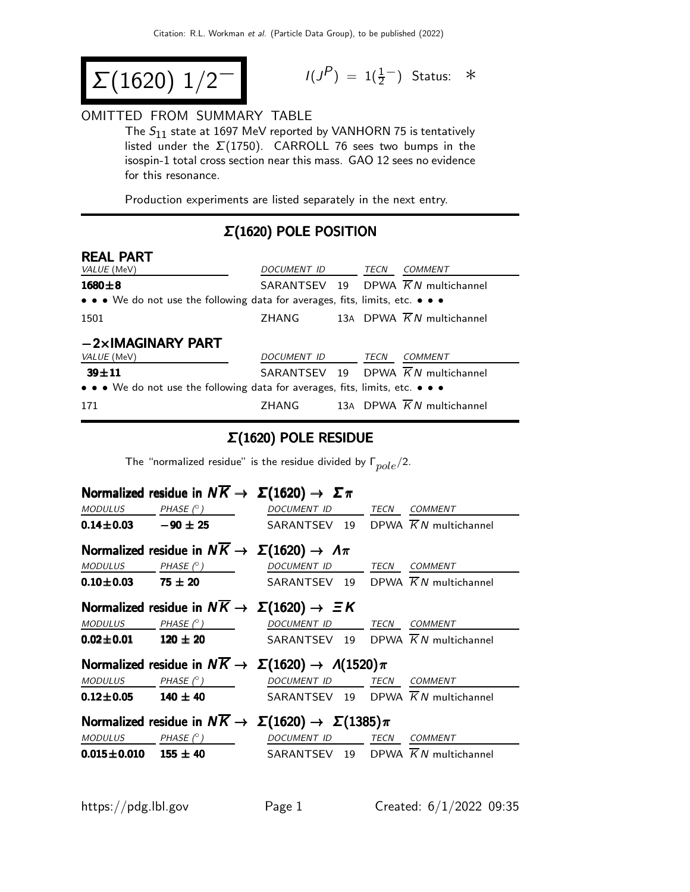$$
\Sigma(1620) 1/2^-
$$

$$
I(J^P) = 1(\frac{1}{2}^-) \quad \text{Status:} \quad *
$$

#### OMITTED FROM SUMMARY TABLE

The  $S_{11}$  state at 1697 MeV reported by VANHORN 75 is tentatively listed under the  $\Sigma(1750)$ . CARROLL 76 sees two bumps in the isospin-1 total cross section near this mass. GAO 12 sees no evidence for this resonance.

Production experiments are listed separately in the next entry.

### Σ(1620) POLE POSITION

| <b>REAL PART</b>                                                                                                      |             |  |      |                                                |
|-----------------------------------------------------------------------------------------------------------------------|-------------|--|------|------------------------------------------------|
| VALUE (MeV)                                                                                                           | DOCUMENT ID |  | TECN | COMMENT                                        |
| $1680 + 8$                                                                                                            |             |  |      | SARANTSEV 19 DPWA $\overline{K}N$ multichannel |
| $\bullet \bullet \bullet$ We do not use the following data for averages, fits, limits, etc. $\bullet \bullet \bullet$ |             |  |      |                                                |
| 1501                                                                                                                  | ZHANG       |  |      | 13A DPWA $\overline{K}N$ multichannel          |
| $-2\times$ IMAGINARY PART                                                                                             |             |  |      |                                                |
| VALUE (MeV)                                                                                                           | DOCUMENT ID |  | TECN | COMMENT                                        |
| $39 + 11$                                                                                                             |             |  |      | SARANTSEV 19 DPWA $\overline{K}N$ multichannel |
| • • • We do not use the following data for averages, fits, limits, etc. • • •                                         |             |  |      |                                                |
| 171                                                                                                                   | ZHANG       |  |      | 13A DPWA $\overline{K}N$ multichannel          |

#### Σ(1620) POLE RESIDUE

The "normalized residue" is the residue divided by  $\Gamma_{pole}/2$ .

|                                                                             |                                                                        | Normalized residue in $N\overline{K} \to \Sigma(1620) \to \Sigma \pi$            |      |                |
|-----------------------------------------------------------------------------|------------------------------------------------------------------------|----------------------------------------------------------------------------------|------|----------------|
| <b>MODULUS</b>                                                              | PHASE (° )                                                             | <b>DOCUMENT ID</b>                                                               |      | TECN COMMENT   |
|                                                                             | $0.14 \pm 0.03$ $-90 \pm 25$                                           | SARANTSEV 19 DPWA $\overline{K}N$ multichannel                                   |      |                |
|                                                                             | Normalized residue in $N\overline{K} \to \Sigma(1620) \to \Lambda \pi$ |                                                                                  |      |                |
| <b>MODULUS</b>                                                              | $PHASE$ ( $^{\circ}$ )                                                 | DOCUMENT ID TECN COMMENT                                                         |      |                |
|                                                                             | $0.10 \pm 0.03$ 75 $\pm$ 20                                            | SARANTSEV 19 DPWA $\overline{K}N$ multichannel                                   |      |                |
|                                                                             |                                                                        | Normalized residue in $N\overline{K} \rightarrow \Sigma(1620) \rightarrow \Xi K$ |      |                |
|                                                                             | MODULUS PHASE $(^\circ)$                                               | DOCUMENT ID                                                                      | TECN | <b>COMMENT</b> |
|                                                                             | $0.02 \pm 0.01$ 120 $\pm$ 20                                           | SARANTSEV 19 DPWA $\overline{K}N$ multichannel                                   |      |                |
| Normalized residue in $N\overline{K} \to \Sigma(1620) \to \Lambda(1520)\pi$ |                                                                        |                                                                                  |      |                |
|                                                                             | MODULUS PHASE $(^\circ)$                                               | DOCUMENT ID TECN COMMENT                                                         |      |                |
| $0.12 \pm 0.05$                                                             | $140 \pm 40$                                                           | SARANTSEV 19 DPWA $\overline{K}N$ multichannel                                   |      |                |
|                                                                             |                                                                        | Normalized residue in $N\overline{K} \to \Sigma(1620) \to \Sigma(1385)\pi$       |      |                |
| <b>MODULUS</b>                                                              | PHASE $(^{\circ})$                                                     | DOCUMENT ID                                                                      | TECN | <b>COMMENT</b> |
|                                                                             | $0.015 \pm 0.010$ $155 \pm 40$                                         | SARANTSEV 19 DPWA $\overline{K}N$ multichannel                                   |      |                |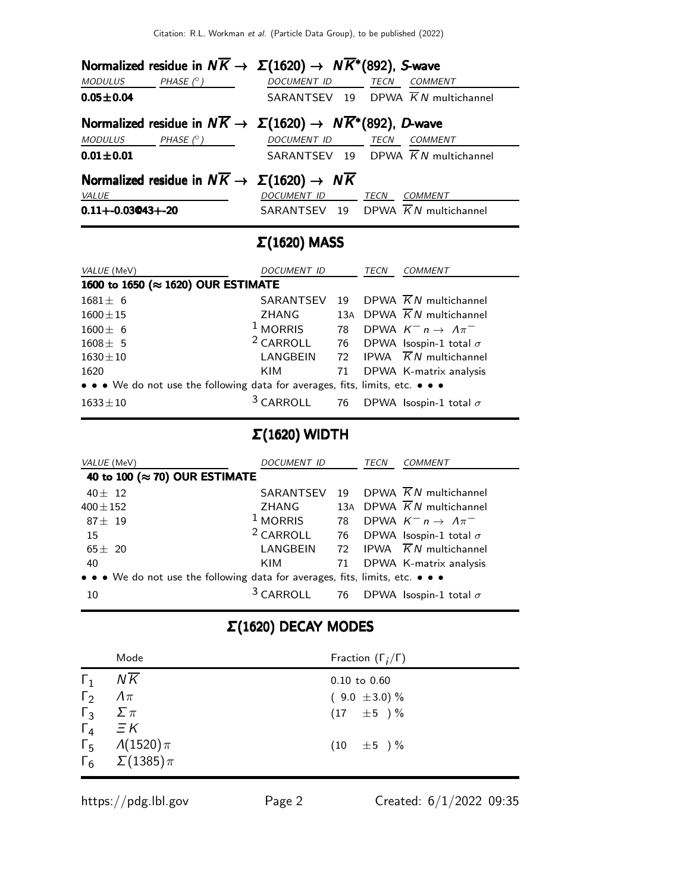| Normalized residue in $N\overline{K} \to \Sigma(1620) \to N\overline{K}^*(892)$ , S-wave |                     |                                                |
|------------------------------------------------------------------------------------------|---------------------|------------------------------------------------|
| MODULUS PHASE $(^\circ)$                                                                 | DOCUMENT ID TECN    | <b>COMMENT</b>                                 |
| $0.05 + 0.04$                                                                            |                     | SARANTSEV 19 DPWA $\overline{K}N$ multichannel |
| Normalized residue in $N\overline{K} \to \Sigma(1620) \to N\overline{K}^*(892)$ , D-wave |                     |                                                |
| $MODULUS$ PHASE $(^\circ)$                                                               | DOCUMENT ID TECN    | <b>COMMENT</b>                                 |
| $0.01 + 0.01$                                                                            |                     | SARANTSEV 19 DPWA $\overline{K}N$ multichannel |
| Normalized residue in $N\overline{K} \rightarrow \Sigma(1620) \rightarrow N\overline{K}$ |                     |                                                |
| VALUE                                                                                    | DOCUMENT ID         | TECN<br><i>COMMENT</i>                         |
| $0.11 + -0.03043 + -20$                                                                  |                     | SARANTSEV 19 DPWA $\overline{K}N$ multichannel |
|                                                                                          | $\Sigma(1620)$ MASS |                                                |

| VALUE (MeV)                                                                   | DOCUMENT ID          |    | TECN | COMMENT                                |  |
|-------------------------------------------------------------------------------|----------------------|----|------|----------------------------------------|--|
| 1600 to 1650 (≈ 1620) OUR ESTIMATE                                            |                      |    |      |                                        |  |
| $1681 \pm 6$                                                                  | SARANTSEV            | 19 |      | DPWA $KN$ multichannel                 |  |
| $1600 \pm 15$                                                                 | ZHANG                |    |      | 13A DPWA $\overline{K}N$ multichannel  |  |
| $1600 \pm 6$                                                                  | $1$ MORRIS           | 78 |      | DPWA $K^- n \rightarrow \Lambda \pi^-$ |  |
| $1608 \pm 5$                                                                  | <sup>2</sup> CARROLL |    |      | 76 DPWA Isospin-1 total $\sigma$       |  |
| $1630 \pm 10$                                                                 | LANGBEIN             |    |      | 72 IPWA $\overline{K}N$ multichannel   |  |
| 1620                                                                          | <b>KIM</b>           | 71 |      | DPWA K-matrix analysis                 |  |
| • • • We do not use the following data for averages, fits, limits, etc. • • • |                      |    |      |                                        |  |
| $1633 + 10$                                                                   | <sup>3</sup> CARROLL |    |      | 76 DPWA Isospin-1 total $\sigma$       |  |

## Σ(1620) WIDTH

| VALUE (MeV)                                                                   | <i>DOCUMENT ID</i>   |    | TECN | <i>COMMENT</i>                         |
|-------------------------------------------------------------------------------|----------------------|----|------|----------------------------------------|
| 40 to 100 (≈ 70) OUR ESTIMATE                                                 |                      |    |      |                                        |
| $40 \pm 12$                                                                   | SARANTSEV            | 19 |      | DPWA KN multichannel                   |
| $400 \pm 152$                                                                 | <b>ZHANG</b>         |    |      | 13A DPWA $\overline{K}N$ multichannel  |
| $87 \pm 19$                                                                   | $1$ MORRIS           | 78 |      | DPWA $K^- n \rightarrow \Lambda \pi^-$ |
| 15                                                                            | $2$ CARROLL          |    |      | 76 DPWA Isospin-1 total $\sigma$       |
| $65 \pm 20$                                                                   | LANGBEIN             | 72 |      | IPWA $\overline{K}N$ multichannel      |
| 40                                                                            | KIM                  | 71 |      | DPWA K-matrix analysis                 |
| • • • We do not use the following data for averages, fits, limits, etc. • • • |                      |    |      |                                        |
| 10                                                                            | <sup>3</sup> CARROLL |    |      | 76 DPWA Isospin-1 total $\sigma$       |

# Σ(1620) DECAY MODES

|            | Mode                             | Fraction $(\Gamma_i/\Gamma)$ |
|------------|----------------------------------|------------------------------|
| $\Gamma_1$ | $N\overline{K}$                  | $0.10$ to $0.60$             |
| $\Gamma_2$ | $\Lambda \pi$                    | $(9.0 \pm 3.0)\%$            |
| $\Gamma_3$ | $\sum \pi$                       | $(17 \pm 5) \%$              |
|            | $\Gamma_4$ $\equiv$ K            |                              |
|            | $\Gamma_5$ $\Lambda(1520)\pi$    | $(10 \pm 5) \%$              |
|            | $\Gamma_6 \quad \Sigma(1385)\pi$ |                              |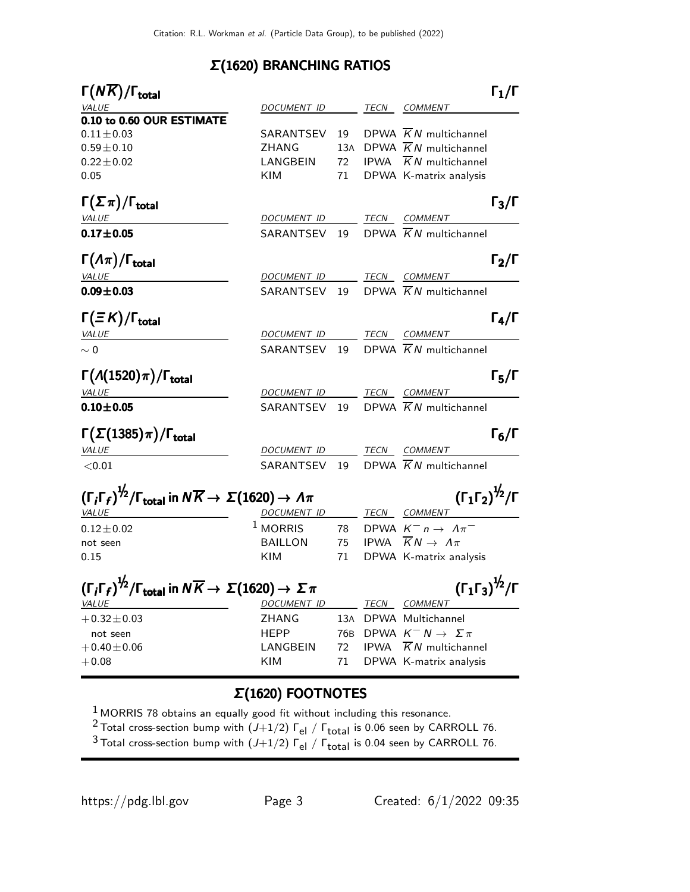#### Σ(1620) BRANCHING RATIOS

| $\Gamma(N\overline{K})/\Gamma_{\rm total}$                                                                                                                                        |                          |     |             |                                              | $\mathsf{\Gamma}_1/\mathsf{\Gamma}$ |
|-----------------------------------------------------------------------------------------------------------------------------------------------------------------------------------|--------------------------|-----|-------------|----------------------------------------------|-------------------------------------|
| VALUE                                                                                                                                                                             | DOCUMENT ID              |     |             | TECN COMMENT                                 |                                     |
| 0.10 to 0.60 OUR ESTIMATE                                                                                                                                                         |                          |     |             |                                              |                                     |
| $0.11 \pm 0.03$                                                                                                                                                                   | SARANTSEV                | 19  |             | DPWA $\overline{K}N$ multichannel            |                                     |
| $0.59 \pm 0.10$                                                                                                                                                                   | <b>ZHANG</b>             | 13A |             | DPWA $\overline{K}N$ multichannel            |                                     |
| $0.22 \pm 0.02$                                                                                                                                                                   | LANGBEIN                 | 72  |             | IPWA $\overline{K}N$ multichannel            |                                     |
| 0.05                                                                                                                                                                              | KIM                      | 71  |             | DPWA K-matrix analysis                       |                                     |
| $\Gamma(\Sigma \pi)/\Gamma_{\rm total}$                                                                                                                                           |                          |     |             |                                              | $\Gamma_3/\Gamma$                   |
| VALUE                                                                                                                                                                             | DOCUMENT ID              |     |             | TECN COMMENT                                 |                                     |
| $0.17 + 0.05$                                                                                                                                                                     | SARANTSEV 19             |     |             | DPWA $\overline{K}N$ multichannel            |                                     |
| $\Gamma(\Lambda\pi)/\Gamma_{\rm total}$                                                                                                                                           |                          |     |             |                                              | $\Gamma_2/\Gamma$                   |
| <b>VALUE</b>                                                                                                                                                                      | DOCUMENT ID              |     |             | TECN COMMENT                                 |                                     |
| $0.09 \pm 0.03$                                                                                                                                                                   | SARANTSEV 19             |     |             | DPWA $\overline{K}N$ multichannel            |                                     |
| $\Gamma(\equiv K)/\Gamma_{\rm total}$                                                                                                                                             |                          |     |             |                                              | $\Gamma_4/\Gamma$                   |
| <i>VALUE</i>                                                                                                                                                                      | DOCUMENT ID TECN COMMENT |     |             |                                              |                                     |
| $\sim 0$                                                                                                                                                                          | SARANTSEV 19             |     |             | DPWA $\overline{K}N$ multichannel            |                                     |
| $\Gamma(A(1520)\pi)/\Gamma_{\text{total}}$                                                                                                                                        |                          |     |             |                                              | $\Gamma_5/\Gamma$                   |
| <b>VALUE</b>                                                                                                                                                                      | DOCUMENT ID              |     |             | TECN COMMENT                                 |                                     |
| $0.10 \pm 0.05$                                                                                                                                                                   | SARANTSEV 19             |     |             | DPWA $\overline{K}N$ multichannel            |                                     |
| $\Gamma(\Sigma(1385)\pi)/\Gamma_{\rm total}$                                                                                                                                      |                          |     |             |                                              | $\Gamma_6/\Gamma$                   |
| <b>VALUE</b>                                                                                                                                                                      | DOCUMENT ID              |     |             | TECN COMMENT                                 |                                     |
| $<$ 0.01                                                                                                                                                                          | SARANTSEV 19             |     |             | DPWA $\overline{K}N$ multichannel            |                                     |
| $(\Gamma_1 \Gamma_2)^{\frac{1}{2}} / \Gamma$<br>$(\Gamma_i \Gamma_f)^{\frac{1}{2}} / \Gamma_{\text{total}}$ in $N \overline{K} \rightarrow \Sigma (1620) \rightarrow \Lambda \pi$ |                          |     |             |                                              |                                     |
| VALUE                                                                                                                                                                             | <b>DOCUMENT ID</b>       |     |             | <b>TECN COMMENT</b>                          |                                     |
| $0.12 \pm 0.02$                                                                                                                                                                   | $^1$ MORRIS              | 78  |             | DPWA $K^- n \rightarrow \Lambda \pi^-$       |                                     |
| not seen                                                                                                                                                                          | <b>BAILLON</b>           | 75  |             | IPWA $\overline{K}N \rightarrow \Lambda \pi$ |                                     |
| 0.15                                                                                                                                                                              | <b>KIM</b>               | 71  |             | DPWA K-matrix analysis                       |                                     |
| $(\Gamma_1\Gamma_3)^{\frac{1}{2}}/\Gamma$<br>$(\Gamma_i \Gamma_f)^{\frac{1}{2}}$ / $\Gamma_{\text{total}}$ in $N \overline{K} \rightarrow \Sigma (1620) \rightarrow \Sigma \pi$   |                          |     |             |                                              |                                     |
| <b>VALUE</b>                                                                                                                                                                      | DOCUMENT ID              |     |             | <b>TECN COMMENT</b>                          |                                     |
| $+0.32 \pm 0.03$                                                                                                                                                                  | <b>ZHANG</b>             | 13A |             | DPWA Multichannel                            |                                     |
| not seen                                                                                                                                                                          | <b>HEPP</b>              | 76B |             | DPWA $K^- N \rightarrow \Sigma \pi$          |                                     |
| $+0.40 \pm 0.06$                                                                                                                                                                  | LANGBEIN                 | 72  | <b>IPWA</b> | $\overline{K}N$ multichannel                 |                                     |
| $+0.08$                                                                                                                                                                           | KIM                      | 71  |             | DPWA K-matrix analysis                       |                                     |
|                                                                                                                                                                                   | $\Sigma(1620)$ FOOTNOTES |     |             |                                              |                                     |

 $1$  MORRIS 78 obtains an equally good fit without including this resonance.

<sup>2</sup> Total cross-section bump with  $(J+1/2)$   $\Gamma_{el}$  /  $\Gamma_{total}$  is 0.06 seen by CARROLL 76.

 $3$  Total cross-section bump with  $(J+1/2)$   $\Gamma_{el}$  /  $\Gamma_{total}$  is 0.04 seen by CARROLL 76.